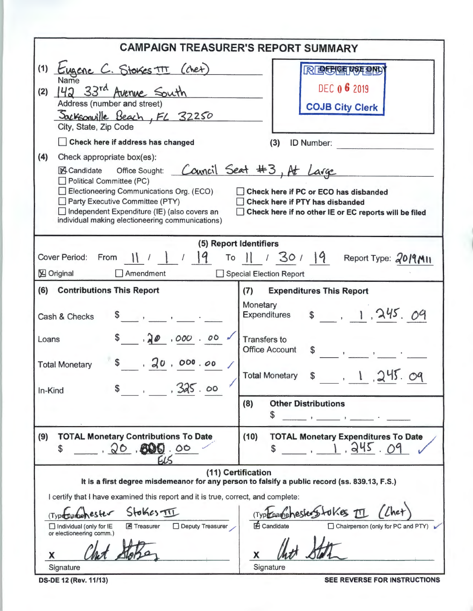| <b>CAMPAIGN TREASURER'S REPORT SUMMARY</b>                                                                                                                                                                                                                                                                                                                                                                                                                                                                                                                                                                                                                                                                                                       |                                                                                                                                                                                                                                |  |  |  |  |  |
|--------------------------------------------------------------------------------------------------------------------------------------------------------------------------------------------------------------------------------------------------------------------------------------------------------------------------------------------------------------------------------------------------------------------------------------------------------------------------------------------------------------------------------------------------------------------------------------------------------------------------------------------------------------------------------------------------------------------------------------------------|--------------------------------------------------------------------------------------------------------------------------------------------------------------------------------------------------------------------------------|--|--|--|--|--|
| (1)<br>Eugene C. Stokes TT (chet)<br><b>RECEPTED</b><br>Name<br>DEC 0 6 2019<br>42 33rd Avenue South<br>(2)<br>Address (number and street)<br><b>COJB City Clerk</b><br>Sacksonville Beach, FL 32250<br>City, State, Zip Code<br>Check here if address has changed<br>(3)<br><b>ID Number:</b><br>(4)<br>Check appropriate box(es):<br>Council Seat #3, At Large<br>Candidate Office Sought:<br>Political Committee (PC)<br>Electioneering Communications Org. (ECO)<br>Check here if PC or ECO has disbanded<br>Party Executive Committee (PTY)<br>Check here if PTY has disbanded<br>Independent Expenditure (IE) (also covers an<br>Check here if no other IE or EC reports will be filed<br>individual making electioneering communications) |                                                                                                                                                                                                                                |  |  |  |  |  |
| (5) Report Identifiers<br>$1 \mid 9$<br>To $  $ / 30 / 19 Report Type: 2019 MII<br><b>Cover Period:</b><br>From<br><b>X</b> Original<br>Amendment<br>Special Election Report                                                                                                                                                                                                                                                                                                                                                                                                                                                                                                                                                                     |                                                                                                                                                                                                                                |  |  |  |  |  |
| (6)<br><b>Contributions This Report</b><br>Cash & Checks<br>\$30,000.00<br>Loans<br>30,000.00<br><b>Total Monetary</b><br>$\circ$<br>In-Kind                                                                                                                                                                                                                                                                                                                                                                                                                                                                                                                                                                                                     | (7)<br><b>Expenditures This Report</b><br>Monetary<br>\$1, 245.09<br><b>Expenditures</b><br><b>Transfers to</b><br><b>Office Account</b><br>\$<br>1.245<br><b>Total Monetary</b>                                               |  |  |  |  |  |
|                                                                                                                                                                                                                                                                                                                                                                                                                                                                                                                                                                                                                                                                                                                                                  | (8)<br><b>Other Distributions</b><br>5<br>Figure 10, 1996 and 1997 and 1997                                                                                                                                                    |  |  |  |  |  |
| (9)<br><b>TOTAL Monetary Contributions To Date</b><br>20.600<br>\$<br>-15                                                                                                                                                                                                                                                                                                                                                                                                                                                                                                                                                                                                                                                                        | (10)<br><b>TOTAL Monetary Expenditures To Date</b><br>1.945.09                                                                                                                                                                 |  |  |  |  |  |
| I certify that I have examined this report and it is true, correct, and complete:<br>SłokcsTII<br>Type particles fer<br>Treasurer DDeputy Treasurer<br>$\Box$ Individual (only for IE<br>or electioneering comm.)<br>х<br>Signature                                                                                                                                                                                                                                                                                                                                                                                                                                                                                                              | (11) Certification<br>It is a first degree misdemeanor for any person to falsify a public record (ss. 839.13, F.S.)<br>(Typechancehesterstokes II<br><b>E</b> Candidate<br>Chairperson (only for PC and PTY)<br>X<br>Signature |  |  |  |  |  |

OS-DE 12 (Rev. 11/13) SEE REVERSE FOR INSTRUCTIONS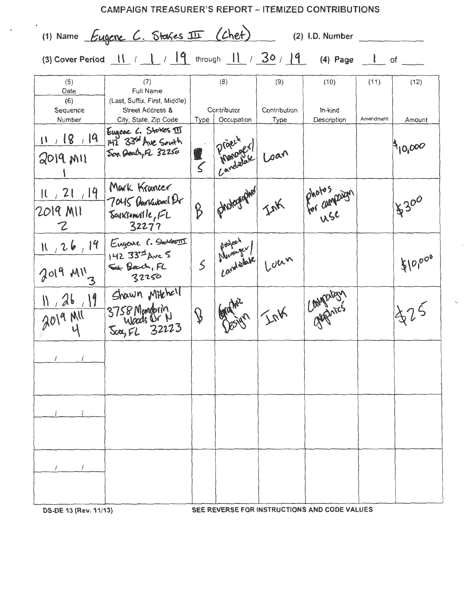| <b>CAMPAIGN TREASURER'S REPORT - ITEMIZED CONTRIBUTIONS</b> |                                                                                                                                                                                                                                  |               |                                  |                      |                        |           |         |
|-------------------------------------------------------------|----------------------------------------------------------------------------------------------------------------------------------------------------------------------------------------------------------------------------------|---------------|----------------------------------|----------------------|------------------------|-----------|---------|
|                                                             | (1) Name Eugene C. Stakes II (chet)                                                                                                                                                                                              |               |                                  |                      | (2) I.D. Number        |           |         |
|                                                             | (3) Cover Period $\begin{array}{ c c c c c c c c c }\hline \end{array}$ / $\begin{array}{ c c c c c }\hline \end{array}$ (4) Page $\begin{array}{ c c c c c }\hline \end{array}$ of $\begin{array}{ c c c c }\hline \end{array}$ |               |                                  |                      |                        |           |         |
| (5)<br>Date<br>(6)                                          | (7)<br>Full Name<br>(Last, Suffix, First, Middle)                                                                                                                                                                                |               | (8)                              | (9)                  | (10)                   | (11)      | (12)    |
| Sequence<br>Number                                          | Street Address &<br>City, State, Zip Code                                                                                                                                                                                        |               | Contributor<br>Type   Occupation | Contribution<br>Type | In-kind<br>Description | Amendment | Amount  |
| 11/18/19<br>$2019$ MII                                      | Eugene L. Stokes III<br>142 33rd Ave South<br>Sox Dealy FL 32250                                                                                                                                                                 | $\leq$        | Praentel                         | Loan                 |                        |           | 910,000 |
| 11/21/19<br>2019 MII<br>Z                                   | Mark Krancer<br>7045 Bankubacl Er<br>Sarksonville, FL<br>32277                                                                                                                                                                   | ß             | photographed                     | Ink                  | Photos and syn<br>use  |           | 18300   |
| N/26/19<br>$2019$ $M1'_{3}$                                 | Eugene C. Stelles III<br>142 33 4 Ave 5<br>Set Bard, FL<br>32250                                                                                                                                                                 |               | 5 Marcuse                        | Loun                 |                        |           | 8000000 |
| 11,26,19<br>$2019$ MII                                      | Shawn Mitchell<br>3758 Mandorin<br>Sca, FL 32223                                                                                                                                                                                 | $\mathcal{D}$ |                                  | InK                  | Conparison             |           |         |
|                                                             |                                                                                                                                                                                                                                  |               |                                  |                      |                        |           |         |
|                                                             |                                                                                                                                                                                                                                  |               |                                  |                      |                        |           |         |
|                                                             |                                                                                                                                                                                                                                  |               |                                  |                      |                        |           |         |

 $\epsilon$ 

OS-DE 13 (Rev. 11/13) SEE REVERSE FOR INSTRUCTIONS AND CODE VALUES